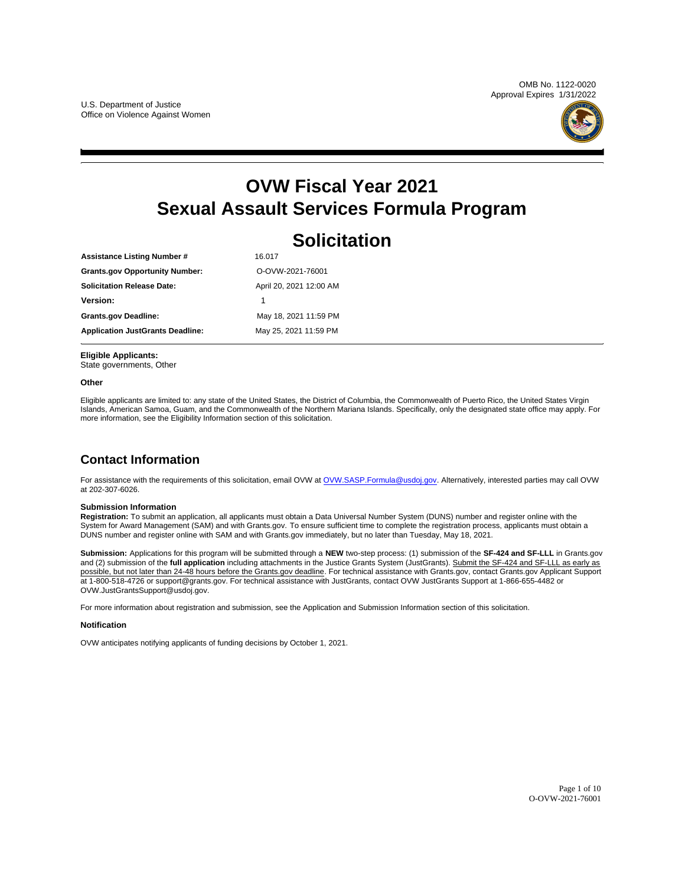OMB No. 1122-0020 Approval Expires 1/31/2022



# <span id="page-0-0"></span>**OVW Fiscal Year 2021 Sexual Assault Services Formula Program**

# **Solicitation**

**Assistance Listing Number #**  16.017 Grants.gov Opportunity Number: 0-0VW-2021-76001 **Solicitation Release Date: April 20, 2021 12:00 AM Version:**  1 Grants.gov Deadline: May 18, 2021 11:59 PM **Application JustGrants Deadline:** May 25, 2021 11:59 PM

**Eligible Applicants:** 

State governments, Other

#### **Other**

Eligible applicants are limited to: any state of the United States, the District of Columbia, the Commonwealth of Puerto Rico, the United States Virgin Islands, American Samoa, Guam, and the Commonwealth of the Northern Mariana Islands. Specifically, only the designated state office may apply. For more information, see the Eligibility Information section of this solicitation.

# **Contact Information**

For assistance with the requirements of this solicitation, email OVW at [OVW.SASP.Formula@usdoj.gov.](http://OVW.SASP.Formula@usdoj.gov) Alternatively, interested parties may call OVW at 202-307-6026.

#### **Submission Information**

**Registration:** To submit an application, all applicants must obtain a Data Universal Number System (DUNS) number and register online with the System for Award Management (SAM) and with [Grants.gov.](https://Grants.gov) To ensure sufficient time to complete the registration process, applicants must obtain a DUNS number and register online with SAM and with [Grants.gov](https://Grants.gov) immediately, but no later than Tuesday, May 18, 2021.

**Submission:** Applications for this program will be submitted through a **NEW** two-step process: (1) submission of the **SF-424 and SF-LLL** in [Grants.gov](https://Grants.gov)  and (2) submission of the **full application** including attachments in the Justice Grants System (JustGrants). Submit the SF-424 and SF-LLL as early as possible, but not later than 24-48 hours before the [Grants.gov](https://Grants.gov) deadline. For technical assistance with [Grants.gov,](https://Grants.gov) contact [Grants.gov](https://Grants.gov) Applicant Support at 1-800-518-4726 or [support@grants.gov.](mailto:support@grants.gov) For technical assistance with JustGrants, contact OVW JustGrants Support at 1-866-655-4482 or [OVW.JustGrantsSupport@usdoj.gov](mailto:OVW.JustGrantsSupport@usdoj.gov).

For more information about registration and submission, see the Application and Submission Information section of this solicitation.

#### **Notification**

OVW anticipates notifying applicants of funding decisions by October 1, 2021.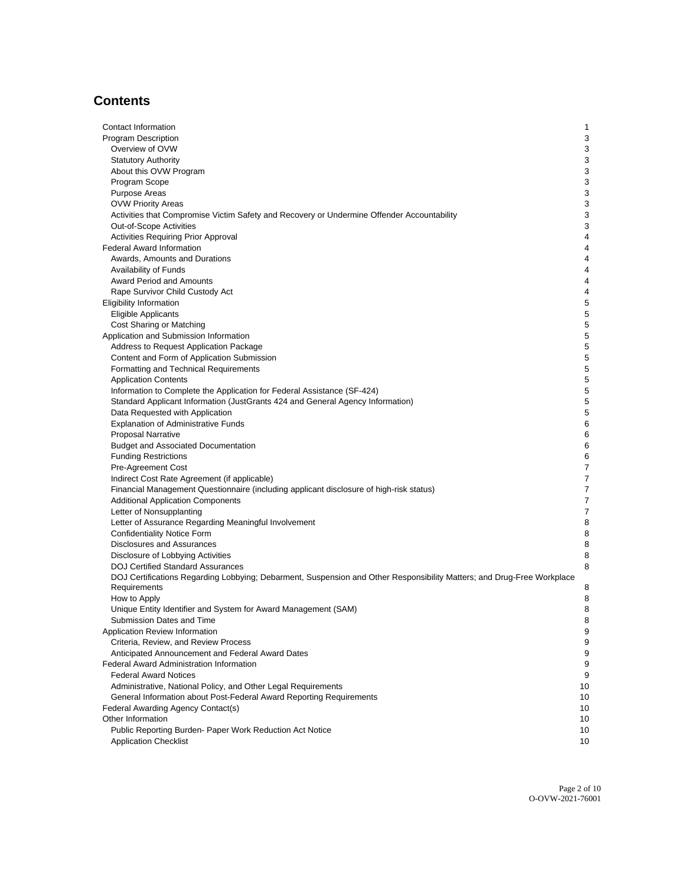# **Contents**

| Contact Information                                                                                                    | 1              |
|------------------------------------------------------------------------------------------------------------------------|----------------|
| <b>Program Description</b>                                                                                             | 3              |
| Overview of OVW                                                                                                        | 3              |
| <b>Statutory Authority</b>                                                                                             | 3              |
| About this OVW Program                                                                                                 | 3              |
| Program Scope                                                                                                          | 3              |
| <b>Purpose Areas</b>                                                                                                   | 3              |
| <b>OVW Priority Areas</b>                                                                                              | 3              |
| Activities that Compromise Victim Safety and Recovery or Undermine Offender Accountability                             | 3              |
|                                                                                                                        | 3              |
| Out-of-Scope Activities                                                                                                |                |
| <b>Activities Requiring Prior Approval</b>                                                                             | 4              |
| <b>Federal Award Information</b>                                                                                       | 4              |
| Awards, Amounts and Durations                                                                                          | 4              |
| Availability of Funds                                                                                                  | 4              |
| <b>Award Period and Amounts</b>                                                                                        | 4              |
| Rape Survivor Child Custody Act                                                                                        | 4              |
| Eligibility Information                                                                                                | 5              |
| Eligible Applicants                                                                                                    | 5              |
| Cost Sharing or Matching                                                                                               | 5              |
| Application and Submission Information                                                                                 | 5              |
| Address to Request Application Package                                                                                 | 5              |
| Content and Form of Application Submission                                                                             | 5              |
| Formatting and Technical Requirements                                                                                  | 5              |
| <b>Application Contents</b>                                                                                            | 5              |
| Information to Complete the Application for Federal Assistance (SF-424)                                                | 5              |
| Standard Applicant Information (JustGrants 424 and General Agency Information)                                         | 5              |
| Data Requested with Application                                                                                        | 5              |
| <b>Explanation of Administrative Funds</b>                                                                             | 6              |
| <b>Proposal Narrative</b>                                                                                              | 6              |
| <b>Budget and Associated Documentation</b>                                                                             | 6              |
| <b>Funding Restrictions</b>                                                                                            | 6              |
| <b>Pre-Agreement Cost</b>                                                                                              | 7              |
| Indirect Cost Rate Agreement (if applicable)                                                                           | 7              |
| Financial Management Questionnaire (including applicant disclosure of high-risk status)                                | 7              |
|                                                                                                                        | $\overline{7}$ |
| <b>Additional Application Components</b>                                                                               |                |
| Letter of Nonsupplanting                                                                                               | 7              |
| Letter of Assurance Regarding Meaningful Involvement                                                                   | 8              |
| <b>Confidentiality Notice Form</b>                                                                                     | 8              |
| Disclosures and Assurances                                                                                             | 8              |
| Disclosure of Lobbying Activities                                                                                      | 8              |
| <b>DOJ Certified Standard Assurances</b>                                                                               | 8              |
| DOJ Certifications Regarding Lobbying; Debarment, Suspension and Other Responsibility Matters; and Drug-Free Workplace |                |
| Requirements                                                                                                           | 8              |
| How to Apply                                                                                                           | 8              |
| Unique Entity Identifier and System for Award Management (SAM)                                                         | 8              |
| Submission Dates and Time                                                                                              | 8              |
| Application Review Information                                                                                         | 9              |
| Criteria, Review, and Review Process                                                                                   | 9              |
| Anticipated Announcement and Federal Award Dates                                                                       | 9              |
| <b>Federal Award Administration Information</b>                                                                        | 9              |
| <b>Federal Award Notices</b>                                                                                           | 9              |
| Administrative, National Policy, and Other Legal Requirements                                                          | 10             |
| General Information about Post-Federal Award Reporting Requirements                                                    | 10             |
| Federal Awarding Agency Contact(s)                                                                                     | 10             |
| Other Information                                                                                                      | 10             |
| Public Reporting Burden- Paper Work Reduction Act Notice                                                               | 10             |
| <b>Application Checklist</b>                                                                                           | 10             |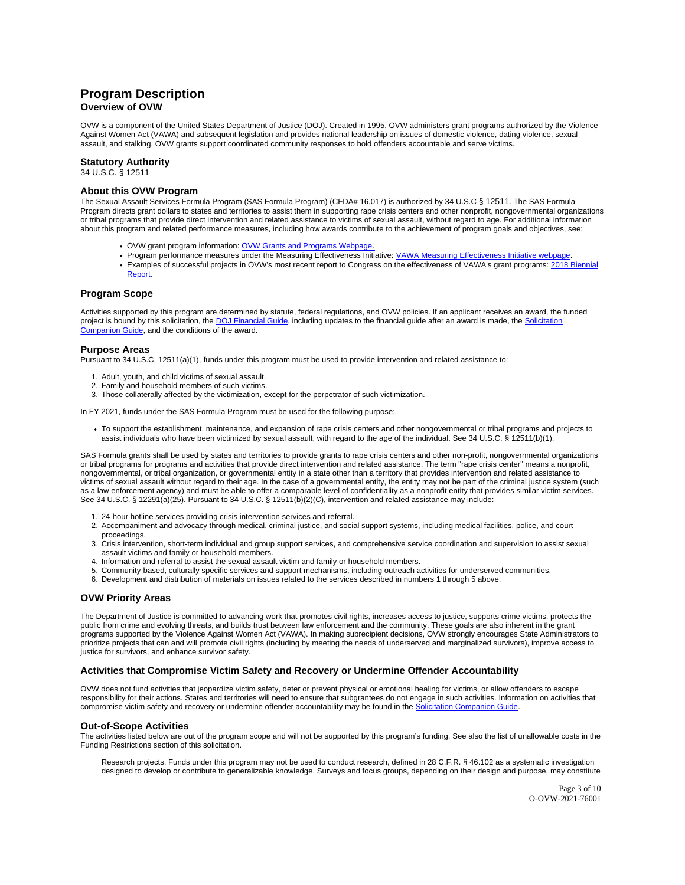# <span id="page-2-0"></span>**Program Description**

#### **Overview of OVW**

OVW is a component of the United States Department of Justice (DOJ). Created in 1995, OVW administers grant programs authorized by the Violence Against Women Act (VAWA) and subsequent legislation and provides national leadership on issues of domestic violence, dating violence, sexual assault, and stalking. OVW grants support coordinated community responses to hold offenders accountable and serve victims.

#### **Statutory Authority**

34 U.S.C. § 12511

#### **About this OVW Program**

The Sexual Assault Services Formula Program (SAS Formula Program) (CFDA# 16.017) is authorized by 34 U.S.C § 12511. The SAS Formula Program directs grant dollars to states and territories to assist them in supporting rape crisis centers and other nonprofit, nongovernmental organizations or tribal programs that provide direct intervention and related assistance to victims of sexual assault, without regard to age. For additional information about this program and related performance measures, including how awards contribute to the achievement of program goals and objectives, see:

- OVW grant program information: [OVW Grants and Programs Webpage.](https://www.justice.gov/ovw/grant-programs)
- Program performance measures under the Measuring Effectiveness Initiative: VAWA Measuring Effectiveness Initiative web
- Examples of successful projects in OVW's most recent report to Congress on the effectiveness of VAWA's grant programs: [2018 Biennial](https://www.justice.gov/ovw/page/file/1292636/download)  [Report.](https://www.justice.gov/ovw/page/file/1292636/download)

#### **Program Scope**

Activities supported by this program are determined by statute, federal regulations, and OVW policies. If an applicant receives an award, the funded project is bound by this solicitation, the [DOJ Financial Guide,](https://www.justice.gov/ovw/page/file/1298396/download) including updates to the financial guide after an award is made, the Solicitation [Companion Guide,](https://www.justice.gov/ovw/resources-applicants) and the conditions of the award.

#### **Purpose Areas**

Pursuant to 34 U.S.C. 12511(a)(1), funds under this program must be used to provide intervention and related assistance to:

- 1. Adult, youth, and child victims of sexual assault.
- 2. Family and household members of such victims.
- 3. Those collaterally affected by the victimization, except for the perpetrator of such victimization.

In FY 2021, funds under the SAS Formula Program must be used for the following purpose:

To support the establishment, maintenance, and expansion of rape crisis centers and other nongovernmental or tribal programs and projects to assist individuals who have been victimized by sexual assault, with regard to the age of the individual. See 34 U.S.C. § 12511(b)(1).

SAS Formula grants shall be used by states and territories to provide grants to rape crisis centers and other non-profit, nongovernmental organizations or tribal programs for programs and activities that provide direct intervention and related assistance. The term "rape crisis center" means a nonprofit, nongovernmental, or tribal organization, or governmental entity in a state other than a territory that provides intervention and related assistance to victims of sexual assault without regard to their age. In the case of a governmental entity, the entity may not be part of the criminal justice system (such as a law enforcement agency) and must be able to offer a comparable level of confidentiality as a nonprofit entity that provides similar victim services. See 34 U.S.C. § 12291(a)(25). Pursuant to 34 U.S.C. § 12511(b)(2)(C), intervention and related assistance may include:

- 1. 24-hour hotline services providing crisis intervention services and referral.
- 2. Accompaniment and advocacy through medical, criminal justice, and social support systems, including medical facilities, police, and court proceedings.
- 3. Crisis intervention, short-term individual and group support services, and comprehensive service coordination and supervision to assist sexual assault victims and family or household members.
- 4. Information and referral to assist the sexual assault victim and family or household members.
- 5. Community-based, culturally specific services and support mechanisms, including outreach activities for underserved communities.
- 6. Development and distribution of materials on issues related to the services described in numbers 1 through 5 above.

#### **OVW Priority Areas**

The Department of Justice is committed to advancing work that promotes civil rights, increases access to justice, supports crime victims, protects the public from crime and evolving threats, and builds trust between law enforcement and the community. These goals are also inherent in the grant programs supported by the Violence Against Women Act (VAWA). In making subrecipient decisions, OVW strongly encourages State Administrators to prioritize projects that can and will promote civil rights (including by meeting the needs of underserved and marginalized survivors), improve access to justice for survivors, and enhance survivor safety.

#### **Activities that Compromise Victim Safety and Recovery or Undermine Offender Accountability**

OVW does not fund activities that jeopardize victim safety, deter or prevent physical or emotional healing for victims, or allow offenders to escape responsibility for their actions. States and territories will need to ensure that subgrantees do not engage in such activities. Information on activities that compromise victim safety and recovery or undermine offender accountability may be found in the Solicitation Companion Guide

#### **Out-of-Scope Activities**

The activities listed below are out of the program scope and will not be supported by this program's funding. See also the list of unallowable costs in the Funding Restrictions section of this solicitation.

Research projects. Funds under this program may not be used to conduct research, defined in 28 C.F.R. § 46.102 as a systematic investigation designed to develop or contribute to generalizable knowledge. Surveys and focus groups, depending on their design and purpose, may constitute

> Page 3 of 10 O-OVW-2021-76001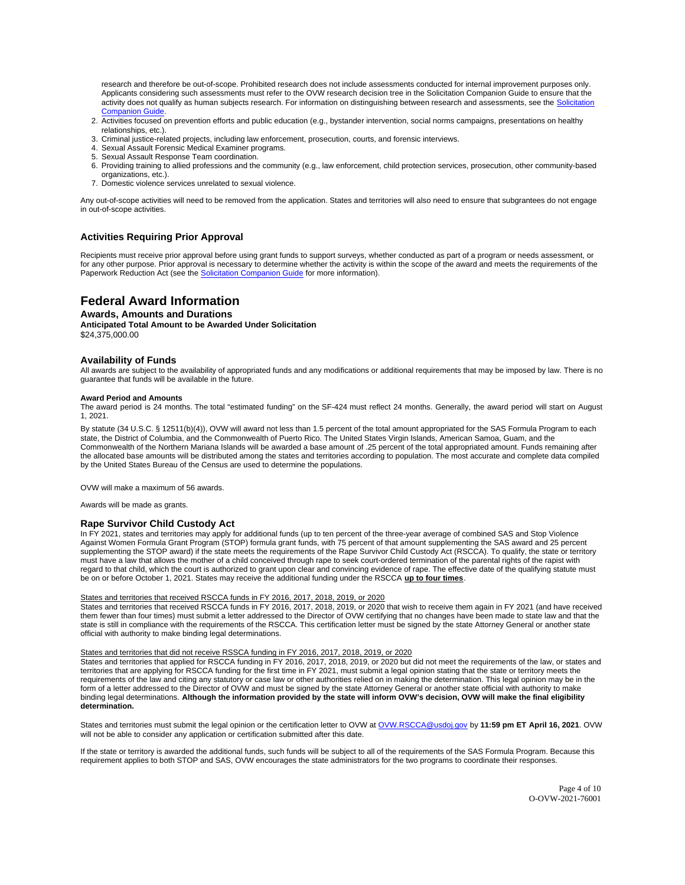<span id="page-3-0"></span>research and therefore be out-of-scope. Prohibited research does not include assessments conducted for internal improvement purposes only. Applicants considering such assessments must refer to the OVW research decision tree in the Solicitation Companion Guide to ensure that the activity does not qualify as human subjects research. For information on distinguishing between research and assessments, see the Solicitation [Companion Guide.](https://www.justice.gov/ovw/resources-applicants)

- 2. Activities focused on prevention efforts and public education (e.g., bystander intervention, social norms campaigns, presentations on healthy relationships, etc.).
- 3. Criminal justice-related projects, including law enforcement, prosecution, courts, and forensic interviews.
- 4. Sexual Assault Forensic Medical Examiner programs.
- 5. Sexual Assault Response Team coordination.
- 6. Providing training to allied professions and the community (e.g., law enforcement, child protection services, prosecution, other community-based organizations, etc.).
- 7. Domestic violence services unrelated to sexual violence.

Any out-of-scope activities will need to be removed from the application. States and territories will also need to ensure that subgrantees do not engage in out-of-scope activities.

#### **Activities Requiring Prior Approval**

Recipients must receive prior approval before using grant funds to support surveys, whether conducted as part of a program or needs assessment, or for any other purpose. Prior approval is necessary to determine whether the activity is within the scope of the award and meets the requirements of the Paperwork Reduction Act (see the **[Solicitation Companion Guide](https://www.justice.gov/ovw/resources-applicants) for more information**).

### **Federal Award Information**

#### **Awards, Amounts and Durations**

**Anticipated Total Amount to be Awarded Under Solicitation**  [\\$24,375,000.00](https://24,375,000.00)

#### **Availability of Funds**

All awards are subject to the availability of appropriated funds and any modifications or additional requirements that may be imposed by law. There is no guarantee that funds will be available in the future.

#### **Award Period and Amounts**

The award period is 24 months. The total "estimated funding" on the SF-424 must reflect 24 months. Generally, the award period will start on August 1, 2021.

By statute (34 U.S.C. § 12511(b)(4)), OVW will award not less than 1.5 percent of the total amount appropriated for the SAS Formula Program to each state, the District of Columbia, and the Commonwealth of Puerto Rico. The United States Virgin Islands, American Samoa, Guam, and the Commonwealth of the Northern Mariana Islands will be awarded a base amount of .25 percent of the total appropriated amount. Funds remaining after the allocated base amounts will be distributed among the states and territories according to population. The most accurate and complete data compiled by the United States Bureau of the Census are used to determine the populations.

OVW will make a maximum of 56 awards.

Awards will be made as grants.

#### **Rape Survivor Child Custody Act**

In FY 2021, states and territories may apply for additional funds (up to ten percent of the three-year average of combined SAS and Stop Violence Against Women Formula Grant Program (STOP) formula grant funds, with 75 percent of that amount supplementing the SAS award and 25 percent supplementing the STOP award) if the state meets the requirements of the Rape Survivor Child Custody Act (RSCCA). To qualify, the state or territory must have a law that allows the mother of a child conceived through rape to seek court-ordered termination of the parental rights of the rapist with regard to that child, which the court is authorized to grant upon clear and convincing evidence of rape. The effective date of the qualifying statute must be on or before October 1, 2021. States may receive the additional funding under the RSCCA **up to four times**.

#### States and territories that received RSCCA funds in FY 2016, 2017, 2018, 2019, or 2020

States and territories that received RSCCA funds in FY 2016, 2017, 2018, 2019, or 2020 that wish to receive them again in FY 2021 (and have received them fewer than four times) must submit a letter addressed to the Director of OVW certifying that no changes have been made to state law and that the state is still in compliance with the requirements of the RSCCA. This certification letter must be signed by the state Attorney General or another state official with authority to make binding legal determinations.

#### States and territories that did not receive RSSCA funding in FY 2016, 2017, 2018, 2019, or 2020

States and territories that applied for RSCCA funding in FY 2016, 2017, 2018, 2019, or 2020 but did not meet the requirements of the law, or states and territories that are applying for RSCCA funding for the first time in FY 2021, must submit a legal opinion stating that the state or territory meets the requirements of the law and citing any statutory or case law or other authorities relied on in making the determination. This legal opinion may be in the<br>form of a letter addressed to the Director of OVW and must be signed **determination.** 

States and territories must submit the legal opinion or the certification letter to OVW at [OVW.RSCCA@usdoj.gov](mailto:OVW.RSCCA@usdoj.gov) by **11:59 pm ET April 16, 2021**. OVW will not be able to consider any application or certification submitted after this date.

If the state or territory is awarded the additional funds, such funds will be subject to all of the requirements of the SAS Formula Program. Because this requirement applies to both STOP and SAS, OVW encourages the state administrators for the two programs to coordinate their responses.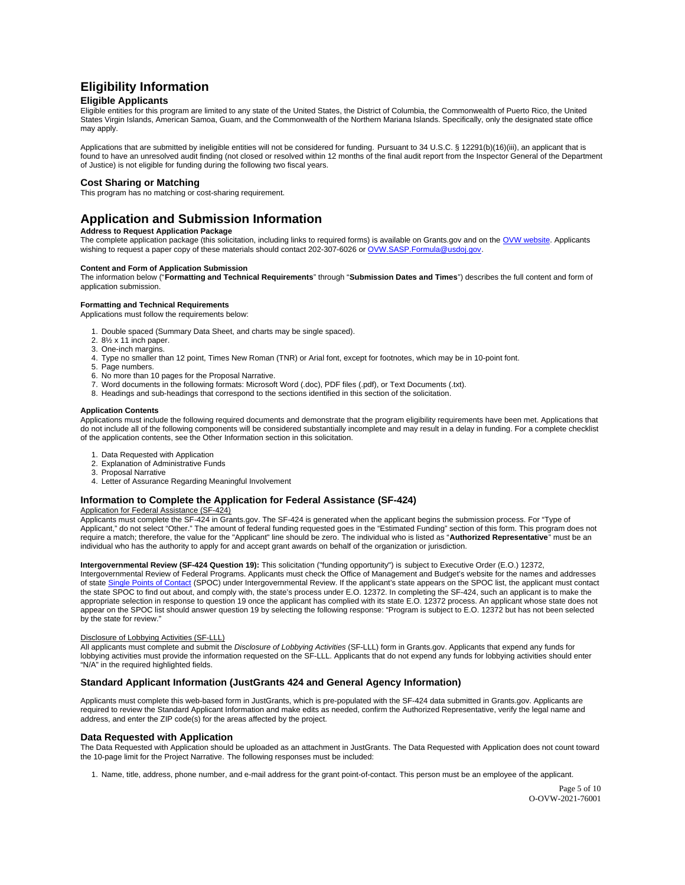# <span id="page-4-0"></span>**Eligibility Information**

#### **Eligible Applicants**

Eligible entities for this program are limited to any state of the United States, the District of Columbia, the Commonwealth of Puerto Rico, the United States Virgin Islands, American Samoa, Guam, and the Commonwealth of the Northern Mariana Islands. Specifically, only the designated state office may apply.

Applications that are submitted by ineligible entities will not be considered for funding. Pursuant to 34 U.S.C. § 12291(b)(16)(iii), an applicant that is found to have an unresolved audit finding (not closed or resolved within 12 months of the final audit report from the Inspector General of the Department of Justice) is not eligible for funding during the following two fiscal years.

#### **Cost Sharing or Matching**

This program has no matching or cost-sharing requirement.

# **Application and Submission Information**

**Address to Request Application Package**  The complete application package (this solicitation, including links to required forms) is available on [Grants.gov](https://Grants.gov) and on the [OVW website.](https://www.justice.gov/ovw/how-apply) Applicants wishing to request a paper copy of these materials should contact 202-307-6026 or [OVW.SASP.Formula@usdoj.gov.](http://OVW.SASP.Formula@usdoj.gov)

#### **Content and Form of Application Submission**

The information below ("**Formatting and Technical Requirements**" through "**Submission Dates and Times**") describes the full content and form of application submission.

#### **Formatting and Technical Requirements**

Applications must follow the requirements below:

- 1. Double spaced (Summary Data Sheet, and charts may be single spaced).
- 2. 8½ x 11 inch paper.
- 3. One-inch margins.
- 4. Type no smaller than 12 point, Times New Roman (TNR) or Arial font, except for footnotes, which may be in 10-point font.
- 5. Page numbers.
- 
- 6. No more than 10 pages for the Proposal Narrative. 7. Word documents in the following formats: Microsoft Word (.doc), PDF files (.pdf), or Text Documents (.txt).
- 8. Headings and sub-headings that correspond to the sections identified in this section of the solicitation.

#### **Application Contents**

Applications must include the following required documents and demonstrate that the program eligibility requirements have been met. Applications that do not include all of the following components will be considered substantially incomplete and may result in a delay in funding. For a complete checklist of the application contents, see the Other Information section in this solicitation.

- 1. Data Requested with Application
- 2. Explanation of Administrative Funds
- 3. Proposal Narrative
- 4. Letter of Assurance Regarding Meaningful Involvement

### **Information to Complete the Application for Federal Assistance (SF-424)**

#### Application for Federal Assistance (SF-424)

Applicants must complete the SF-424 in [Grants.gov.](https://Grants.gov) The SF-424 is generated when the applicant begins the submission process. For "Type of Applicant," do not select "Other." The amount of federal funding requested goes in the "Estimated Funding" section of this form. This program does not require a match; therefore, the value for the "Applicant" line should be zero. The individual who is listed as "**Authorized Representative**" must be an individual who has the authority to apply for and accept grant awards on behalf of the organization or jurisdiction.

#### **Intergovernmental Review (SF-424 Question 19):** This solicitation ("funding opportunity") is subject to Executive Order (E.O.) 12372,

Intergovernmental Review of Federal Programs. Applicants must check the Office of Management and Budget's website for the names and addresses of state [Single Points of Contact](https://www.whitehouse.gov/wp-content/uploads/2020/04/SPOC-4-13-20.pdf) (SPOC) under Intergovernmental Review. If the applicant's state appears on the SPOC list, the applicant must contact the state SPOC to find out about, and comply with, the state's process under E.O. 12372. In completing the SF-424, such an applicant is to make the appropriate selection in response to question 19 once the applicant has complied with its state E.O. 12372 process. An applicant whose state does not appear on the SPOC list should answer question 19 by selecting the following response: "Program is subject to E.O. 12372 but has not been selected by the state for review."

#### Disclosure of Lobbying Activities (SF-LLL)

All applicants must complete and submit the *Disclosure of Lobbying Activities* (SF-LLL) form in [Grants.gov.](https://Grants.gov) Applicants that expend any funds for<br>lobbying activities must provide the information requested on the SF-LLL. Ap "N/A" in the required highlighted fields.

#### **Standard Applicant Information (JustGrants 424 and General Agency Information)**

Applicants must complete this web-based form in JustGrants, which is pre-populated with the SF-424 data submitted in [Grants.gov](https://Grants.gov). Applicants are required to review the Standard Applicant Information and make edits as needed, confirm the Authorized Representative, verify the legal name and address, and enter the ZIP code(s) for the areas affected by the project.

#### **Data Requested with Application**

The Data Requested with Application should be uploaded as an attachment in JustGrants. The Data Requested with Application does not count toward the 10-page limit for the Project Narrative. The following responses must be included:

1. Name, title, address, phone number, and e-mail address for the grant point-of-contact. This person must be an employee of the applicant.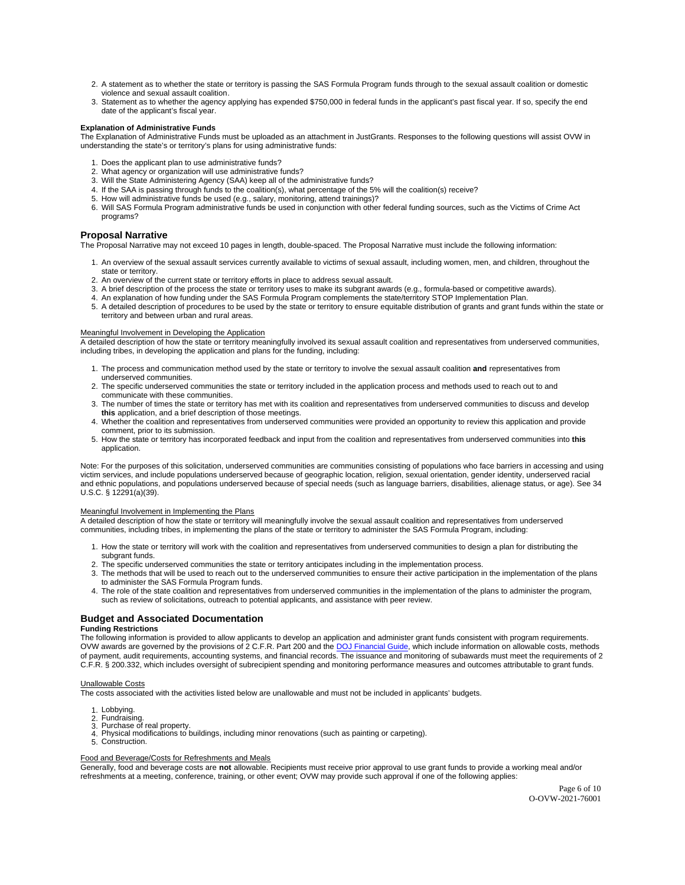- <span id="page-5-0"></span>2. A statement as to whether the state or territory is passing the SAS Formula Program funds through to the sexual assault coalition or domestic violence and sexual assault coalition.
- 3. Statement as to whether the agency applying has expended \$750,000 in federal funds in the applicant's past fiscal year. If so, specify the end date of the applicant's fiscal year.

#### **Explanation of Administrative Funds**

The Explanation of Administrative Funds must be uploaded as an attachment in JustGrants. Responses to the following questions will assist OVW in understanding the state's or territory's plans for using administrative funds:

- 1. Does the applicant plan to use administrative funds?
- 2. What agency or organization will use administrative funds?
- 3. Will the State Administering Agency (SAA) keep all of the administrative funds?
- 4. If the SAA is passing through funds to the coalition(s), what percentage of the 5% will the coalition(s) receive? 5. How will administrative funds be used (e.g., salary, monitoring, attend trainings)?
- 
- 6. Will SAS Formula Program administrative funds be used in conjunction with other federal funding sources, such as the Victims of Crime Act programs?

#### **Proposal Narrative**

The Proposal Narrative may not exceed 10 pages in length, double-spaced. The Proposal Narrative must include the following information:

- 1. An overview of the sexual assault services currently available to victims of sexual assault, including women, men, and children, throughout the state or territory.
- 2. An overview of the current state or territory efforts in place to address sexual assault.
- 3. A brief description of the process the state or territory uses to make its subgrant awards (e.g., formula-based or competitive awards).
- 4. An explanation of how funding under the SAS Formula Program complements the state/territory STOP Implementation Plan.
- 5. A detailed description of procedures to be used by the state or territory to ensure equitable distribution of grants and grant funds within the state or territory and between urban and rural areas.

#### Meaningful Involvement in Developing the Application

A detailed description of how the state or territory meaningfully involved its sexual assault coalition and representatives from underserved communities, including tribes, in developing the application and plans for the funding, including:

- 1. The process and communication method used by the state or territory to involve the sexual assault coalition **and** representatives from underserved communities.
- 2. The specific underserved communities the state or territory included in the application process and methods used to reach out to and communicate with these communities.
- 3. The number of times the state or territory has met with its coalition and representatives from underserved communities to discuss and develop **this** application, and a brief description of those meetings.
- 4. Whether the coalition and representatives from underserved communities were provided an opportunity to review this application and provide comment, prior to its submission.
- 5. How the state or territory has incorporated feedback and input from the coalition and representatives from underserved communities into **this**  application.

Note: For the purposes of this solicitation, underserved communities are communities consisting of populations who face barriers in accessing and using victim services, and include populations underserved because of geographic location, religion, sexual orientation, gender identity, underserved racial and ethnic populations, and populations underserved because of special needs (such as language barriers, disabilities, alienage status, or age). See 34 U.S.C. § 12291(a)(39).

#### Meaningful Involvement in Implementing the Plans

A detailed description of how the state or territory will meaningfully involve the sexual assault coalition and representatives from underserved communities, including tribes, in implementing the plans of the state or territory to administer the SAS Formula Program, including:

- 1. How the state or territory will work with the coalition and representatives from underserved communities to design a plan for distributing the subgrant funds.
- 2. The specific underserved communities the state or territory anticipates including in the implementation process.
- 3. The methods that will be used to reach out to the underserved communities to ensure their active participation in the implementation of the plans to administer the SAS Formula Program funds.
- 4. The role of the state coalition and representatives from underserved communities in the implementation of the plans to administer the program, such as review of solicitations, outreach to potential applicants, and assistance with peer review.

#### **Budget and Associated Documentation**

#### **Funding Restrictions**

The following information is provided to allow applicants to develop an application and administer grant funds consistent with program requirements. OVW awards are governed by the provisions of 2 C.F.R. Part 200 and the [DOJ Financial Guide,](https://www.justice.gov/ovw/page/file/1298396/download) which include information on allowable costs, methods of payment, audit requirements, accounting systems, and financial records. The issuance and monitoring of subawards must meet the requirements of 2 C.F.R. § 200.332, which includes oversight of subrecipient spending and monitoring performance measures and outcomes attributable to grant funds.

#### Unallowable Costs

The costs associated with the activities listed below are unallowable and must not be included in applicants' budgets.

- 1. Lobbying.
- 
- 2. Fundraising. 3. Purchase of real property.
- 4. Physical modifications to buildings, including minor renovations (such as painting or carpeting).
- 5. Construction.

#### Food and Beverage/Costs for Refreshments and Meals

Generally, food and beverage costs are **not** allowable. Recipients must receive prior approval to use grant funds to provide a working meal and/or refreshments at a meeting, conference, training, or other event; OVW may provide such approval if one of the following applies: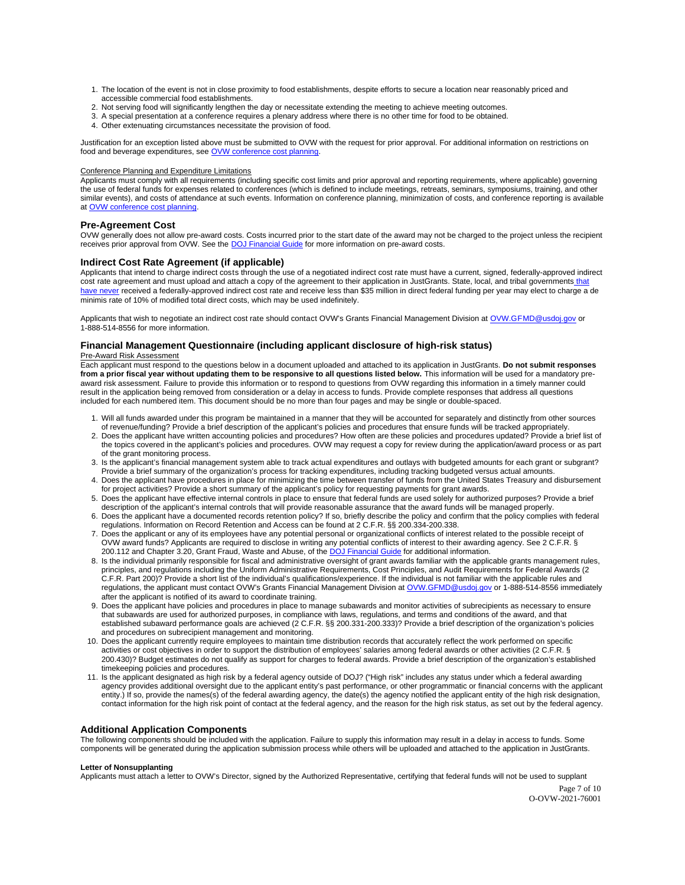- <span id="page-6-0"></span>1. The location of the event is not in close proximity to food establishments, despite efforts to secure a location near reasonably priced and accessible commercial food establishments.
- 2. Not serving food will significantly lengthen the day or necessitate extending the meeting to achieve meeting outcomes.<br>3. A special presentation at a conference requires a plenary address where there is no other time fo
- 
- 4. Other extenuating circumstances necessitate the provision of food.

Justification for an exception listed above must be submitted to OVW with the request for prior approval. For additional information on restrictions on food and beverage expenditures, see [OVW conference cost planning.](https://www.justice.gov/ovw/conference-planning)

#### Conference Planning and Expenditure Limitations

Applicants must comply with all requirements (including specific cost limits and prior approval and reporting requirements, where applicable) governing the use of federal funds for expenses related to conferences (which is defined to include meetings, retreats, seminars, symposiums, training, and other similar events), and costs of attendance at such events. Information on conference planning, minimization of costs, and conference reporting is available at [OVW conference cost planning.](https://www.justice.gov/ovw/conference-planning)

#### **Pre-Agreement Cost**

OVW generally does not allow pre-award costs. Costs incurred prior to the start date of the award may not be charged to the project unless the recipient receives prior approval from OVW. See the **DOJ Financial Guide** for more information on pre-award costs.

#### **Indirect Cost Rate Agreement (if applicable)**

Applicants that intend to charge indirect costs through the use of a negotiated indirect cost rate must have a current, signed, federally-approved indirect cost rate agreement and must upload and attach a copy of the agreement to their application in JustGrants. State, local, and tribal governments that have never received a federally-approved indirect cost rate and receive less than \$35 million in direct federal funding per year may elect to charge a de minimis rate of 10% of modified total direct costs, which may be used indefinitely.

Applicants that wish to negotiate an indirect cost rate should contact OVW's Grants Financial Management Division at [OVW.GFMD@usdoj.gov](mailto:OVW.GFMD@usdoj.gov) or 1-888-514-8556 for more information.

#### **Financial Management Questionnaire (including applicant disclosure of high-risk status)**

Pre-Award Risk Assessment

Each applicant must respond to the questions below in a document uploaded and attached to its application in JustGrants. **Do not submit responses**  from a prior fiscal year without updating them to be responsive to all questions listed below. This information will be used for a mandatory preaward risk assessment. Failure to provide this information or to respond to questions from OVW regarding this information in a timely manner could result in the application being removed from consideration or a delay in access to funds. Provide complete responses that address all questions included for each numbered item. This document should be no more than four pages and may be single or double-spaced.

- 1. Will all funds awarded under this program be maintained in a manner that they will be accounted for separately and distinctly from other sources of revenue/funding? Provide a brief description of the applicant's policies and procedures that ensure funds will be tracked appropriately.
- 2. Does the applicant have written accounting policies and procedures? How often are these policies and procedures updated? Provide a brief list of the topics covered in the applicant's policies and procedures. OVW may request a copy for review during the application/award process or as part of the grant monitoring process.
- 3. Is the applicant's financial management system able to track actual expenditures and outlays with budgeted amounts for each grant or subgrant? Provide a brief summary of the organization's process for tracking expenditures, including tracking budgeted versus actual amounts.
- 4. Does the applicant have procedures in place for minimizing the time between transfer of funds from the United States Treasury and disbursement for project activities? Provide a short summary of the applicant's policy for requesting payments for grant awards.
- 5. Does the applicant have effective internal controls in place to ensure that federal funds are used solely for authorized purposes? Provide a brief description of the applicant's internal controls that will provide reasonable assurance that the award funds will be managed properly.
- 6. Does the applicant have a documented records retention policy? If so, briefly describe the policy and confirm that the policy complies with federal regulations. Information on Record Retention and Access can be found at 2 C.F.R. §§ 200.334-200.338.
- 7. Does the applicant or any of its employees have any potential personal or organizational conflicts of interest related to the possible receipt of OVW award funds? Applicants are required to disclose in writing any potential conflicts of interest to their awarding agency. See 2 C.F.R. § 200.112 and Chapter 3.20, Grant Fraud, Waste and Abuse, of the [DOJ Financial Guide](https://www.justice.gov/ovw/page/file/1298396/download) for additional information.
- 8. Is the individual primarily responsible for fiscal and administrative oversight of grant awards familiar with the applicable grants management rules, principles, and regulations including the Uniform Administrative Requirements, Cost Principles, and Audit Requirements for Federal Awards (2 C.F.R. Part 200)? Provide a short list of the individual's qualifications/experience. If the individual is not familiar with the applicable rules and regulations, the applicant must contact OVW's Grants Financial Management Division at [OVW.GFMD@usdoj.gov](mailto:OVW.GFMD@usdoj.gov) or 1-888-514-8556 immediately
- after the applicant is notified of its award to coordinate training. 9. Does the applicant have policies and procedures in place to manage subawards and monitor activities of subrecipients as necessary to ensure that subawards are used for authorized purposes, in compliance with laws, regulations, and terms and conditions of the award, and that<br>established subaward performance goals are achieved (2 C.F.R. §§ 200.331-200.333)? Prov and procedures on subrecipient management and monitoring.
- 10. Does the applicant currently require employees to maintain time distribution records that accurately reflect the work performed on specific<br>activities or cost objectives in order to support the distribution of employee
- timekeeping policies and procedures. 11. Is the applicant designated as high risk by a federal agency outside of DOJ? ("High risk" includes any status under which a federal awarding agency provides additional oversight due to the applicant entity's past performance, or other programmatic or financial concerns with the applicant entity.) If so, provide the names(s) of the federal awarding agency, the date(s) the agency notified the applicant entity of the high risk designation, contact information for the high risk point of contact at the federal agency, and the reason for the high risk status, as set out by the federal agency.

### **Additional Application Components**

The following components should be included with the application. Failure to supply this information may result in a delay in access to funds. Some components will be generated during the application submission process while others will be uploaded and attached to the application in JustGrants.

#### **Letter of Nonsupplanting**

Applicants must attach a letter to OVW's Director, signed by the Authorized Representative, certifying that federal funds will not be used to supplant

Page 7 of 10 O-OVW-2021-76001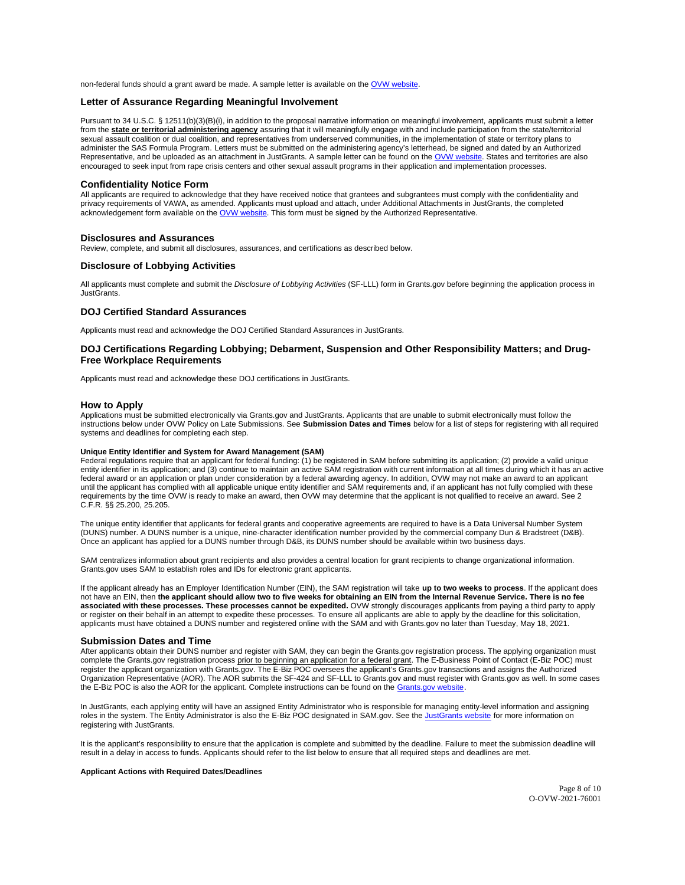<span id="page-7-0"></span>non-federal funds should a grant award be made. A sample letter is available on the [OVW website.](https://www.justice.gov/ovw/resources-applicants)

#### **Letter of Assurance Regarding Meaningful Involvement**

Pursuant to 34 U.S.C. § 12511(b)(3)(B)(i), in addition to the proposal narrative information on meaningful involvement, applicants must submit a letter from the **state or territorial administering agency** assuring that it will meaningfully engage with and include participation from the state/territorial sexual assault coalition or dual coalition, and representatives from underserved communities, in the implementation of state or territory plans to administer the SAS Formula Program. Letters must be submitted on the administering agency's letterhead, be signed and dated by an Authorized Representative, and be uploaded as an attachment in JustGrants. A sample letter can be found on the [OVW website.](https://www.justice.gov/ovw/resources-applicants) States and territories are also encouraged to seek input from rape crisis centers and other sexual assault programs in their application and implementation processes.

#### **Confidentiality Notice Form**

All applicants are required to acknowledge that they have received notice that grantees and subgrantees must comply with the confidentiality and privacy requirements of VAWA, as amended. Applicants must upload and attach, under Additional Attachments in JustGrants, the completed acknowledgement form available on the [OVW website.](https://www.justice.gov/ovw/resources-applicants) This form must be signed by the Authorized Representative.

#### **Disclosures and Assurances**

Review, complete, and submit all disclosures, assurances, and certifications as described below.

#### **Disclosure of Lobbying Activities**

All applicants must complete and submit the Disclosure of Lobbying Activities (SF-LLL) form in [Grants.gov](https://Grants.gov) before beginning the application process in JustGrants.

#### **DOJ Certified Standard Assurances**

Applicants must read and acknowledge the DOJ Certified Standard Assurances in JustGrants.

#### **DOJ Certifications Regarding Lobbying; Debarment, Suspension and Other Responsibility Matters; and Drug-Free Workplace Requirements**

Applicants must read and acknowledge these DOJ certifications in JustGrants.

#### **How to Apply**

Applications must be submitted electronically via [Grants.gov](https://Grants.gov) and JustGrants. Applicants that are unable to submit electronically must follow the instructions below under OVW Policy on Late Submissions. See **Submission Dates and Times** below for a list of steps for registering with all required systems and deadlines for completing each step.

#### **Unique Entity Identifier and System for Award Management (SAM)**

Federal regulations require that an applicant for federal funding: (1) be registered in SAM before submitting its application; (2) provide a valid unique entity identifier in its application; and (3) continue to maintain an active SAM registration with current information at all times during which it has an active federal award or an application or plan under consideration by a federal awarding agency. In addition, OVW may not make an award to an applicant until the applicant has complied with all applicable unique entity identifier and SAM requirements and, if an applicant has not fully complied with these requirements by the time OVW is ready to make an award, then OVW may determine that the applicant is not qualified to receive an award. See 2 C.F.R. §§ 25.200, 25.205.

The unique entity identifier that applicants for federal grants and cooperative agreements are required to have is a Data Universal Number System (DUNS) number. A DUNS number is a unique, nine-character identification number provided by the commercial company Dun & Bradstreet (D&B).<br>Once an applicant has applied for a DUNS number through D&B, its DUNS number should

SAM centralizes information about grant recipients and also provides a central location for grant recipients to change organizational information. [Grants.gov](https://Grants.gov) uses SAM to establish roles and IDs for electronic grant applicants.

If the applicant already has an Employer Identification Number (EIN), the SAM registration will take **up to two weeks to process**. If the applicant does not have an EIN, then **the applicant should allow two to five weeks for obtaining an EIN from the Internal Revenue Service. There is no fee<br><b>associated with these processes. These processes cannot be expedited.** OVW strong or register on their behalf in an attempt to expedite these processes. To ensure all applicants are able to apply by the deadline for this solicitation, applicants must have obtained a DUNS number and registered online with the SAM and with [Grants.gov](https://Grants.gov) no later than Tuesday, May 18, 2021.

#### **Submission Dates and Time**

After applicants obtain their DUNS number and register with SAM, they can begin the [Grants.gov](https://Grants.gov) registration process. The applying organization must complete the [Grants.gov](https://Grants.gov) registration process prior to beginning an application for a federal grant. The E-Business Point of Contact (E-Biz POC) must register the applicant organization with [Grants.gov.](https://Grants.gov) The E-Biz POC oversees the applicant's [Grants.gov](https://Grants.gov) transactions and assigns the Authorized Organization Representative (AOR). The AOR submits the SF-424 and SF-LLL to [Grants.gov](https://Grants.gov) and must register with [Grants.gov](https://Grants.gov) as well. In some cases the E-Biz POC is also the AOR for the applicant. Complete instructions can be found on the [Grants.gov website.](https://www.grants.gov/web/grants/applicants/registration.html)

In JustGrants, each applying entity will have an assigned Entity Administrator who is responsible for managing entity-level information and assigning roles in the system. The Entity Administrator is also the E-Biz POC designated in SAM.gov. See the [JustGrants website](https://justicegrants.usdoj.gov/) for more information on registering with JustGrants.

It is the applicant's responsibility to ensure that the application is complete and submitted by the deadline. Failure to meet the submission deadline will result in a delay in access to funds. Applicants should refer to the list below to ensure that all required steps and deadlines are met.

#### **Applicant Actions with Required Dates/Deadlines**

Page 8 of 10 O-OVW-2021-76001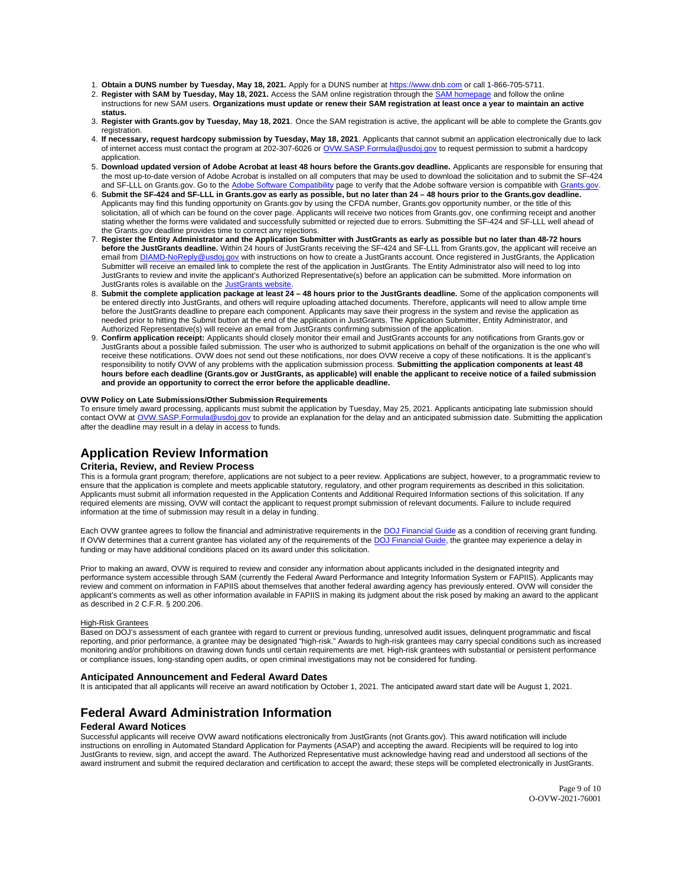- <span id="page-8-0"></span>1. **Obtain a DUNS number by Tuesday, May 18, 2021.** Apply for a DUNS number at <https://www.dnb.com>or call 1-866-705-5711.
- 2. **Register with SAM by Tuesday, May 18, 2021.** Access the SAM online registration through the [SAM homepage](https://sam.gov/SAM/) and follow the online instructions for new SAM users. **Organizations must update or renew their SAM registration at least once a year to maintain an active status.**
- 3. **Register with [Grants.gov](https://Grants.gov) by Tuesday, May 18, 2021**. Once the SAM registration is active, the applicant will be able to complete the [Grants.gov](https://Grants.gov)  registration.
- 4. **If necessary, request hardcopy submission by Tuesday, May 18, 2021**. Applicants that cannot submit an application electronically due to lack of internet access must contact the program at 202-307-6026 or [OVW.SASP.Formula@usdoj.gov](http://OVW.SASP.Formula@usdoj.gov) to request permission to submit a hardcopy application
- 5. **Download updated version of Adobe Acrobat at least 48 hours before the [Grants.gov](https://Grants.gov) deadline.** Applicants are responsible for ensuring that the most up-to-date version of Adobe Acrobat is installed on all computers that may be used to download the solicitation and to submit the SF-424 and SF-LLL on [Grants.gov.](http://www.grants.gov) Go to the [Adobe Software Compatibility](https://www.grants.gov/web/grants/applicants/adobe-software-compatibility.html) page to verify that the Adobe software version is compatible with Grants.gov.
- 6. **Submit the SF-424 and SF-LLL in [Grants.gov](https://Grants.gov) as early as possible, but no later than 24 48 hours prior to the [Grants.gov](https://Grants.gov) deadline.**  Applicants may find this funding opportunity on [Grants.gov](https://Grants.gov) by using the CFDA number, [Grants.gov](https://Grants.gov) opportunity number, or the title of this solicitation, all of which can be found on the cover page. Applicants will receive two notices from [Grants.gov](https://Grants.gov), one confirming receipt and another stating whether the forms were validated and successfully submitted or rejected due to errors. Submitting the SF-424 and SF-LLL well ahead of the [Grants.gov](https://Grants.gov) deadline provides time to correct any rejections.
- 7. **Register the Entity Administrator and the Application Submitter with JustGrants as early as possible but no later than 48-72 hours before the JustGrants deadline.** Within 24 hours of JustGrants receiving the SF-424 and SF-LLL from [Grants.gov,](https://Grants.gov) the applicant will receive an email from [DIAMD-NoReply@usdoj.gov](mailto:DIAMD-NoReply@usdoj.gov) with instructions on how to create a JustGrants account. Once registered in JustGrants, the Application Submitter will receive an emailed link to complete the rest of the application in JustGrants. The Entity Administrator also will need to log into JustGrants to review and invite the applicant's Authorized Representative(s) before an application can be submitted. More information on JustGrants roles is available on the [JustGrants website.](https://justicegrants.usdoj.gov/getting-started#secureOnboarding)
- 8. **Submit the complete application package at least 24 48 hours prior to the JustGrants deadline.** Some of the application components will be entered directly into JustGrants, and others will require uploading attached documents. Therefore, applicants will need to allow ample time before the JustGrants deadline to prepare each component. Applicants may save their progress in the system and revise the application as needed prior to hitting the Submit button at the end of the application in JustGrants. The Application Submitter, Entity Administrator, and Authorized Representative(s) will receive an email from JustGrants confirming submission of the application.
- 9. **Confirm application receipt:** Applicants should closely monitor their email and JustGrants accounts for any notifications from [Grants.gov](https://Grants.gov) or JustGrants about a possible failed submission. The user who is authorized to submit applications on behalf of the organization is the one who will receive these notifications. OVW does not send out these notifications, nor does OVW receive a copy of these notifications. It is the applicant's responsibility to notify OVW of any problems with the application submission process. **Submitting the application components at least 48 hours before each deadline [\(Grants.gov](https://Grants.gov) or JustGrants, as applicable) will enable the applicant to receive notice of a failed submission and provide an opportunity to correct the error before the applicable deadline.**

#### **OVW Policy on Late Submissions/Other Submission Requirements**

To ensure timely award processing, applicants must submit the application by Tuesday, May 25, 2021. Applicants anticipating late submission should contact OVW at [OVW.SASP.Formula@usdoj.gov](http://OVW.SASP.Formula@usdoj.gov) to provide an explanation for the delay and an anticipated submission date. Submitting the application after the deadline may result in a delay in access to funds.

### **Application Review Information**

#### **Criteria, Review, and Review Process**

This is a formula grant program; therefore, applications are not subject to a peer review. Applications are subject, however, to a programmatic review to ensure that the application is complete and meets applicable statutory, regulatory, and other program requirements as described in this solicitation. Applicants must submit all information requested in the Application Contents and Additional Required Information sections of this solicitation. If any required elements are missing, OVW will contact the applicant to request prompt submission of relevant documents. Failure to include required information at the time of submission may result in a delay in funding.

Each OVW grantee agrees to follow the financial and administrative requirements in the [DOJ Financial Guide](https://www.justice.gov/ovw/page/file/1298396/download) as a condition of receiving grant funding. If OVW determines that a current grantee has violated any of the requirements of the [DOJ Financial Guide,](https://www.justice.gov/ovw/page/file/1298396/download) the grantee may experience a delay in funding or may have additional conditions placed on its award under this solicitation.

Prior to making an award, OVW is required to review and consider any information about applicants included in the designated integrity and performance system accessible through SAM (currently the Federal Award Performance and Integrity Information System or FAPIIS). Applicants may review and comment on information in FAPIIS about themselves that another federal awarding agency has previously entered. OVW will consider the applicant's comments as well as other information available in FAPIIS in making its judgment about the risk posed by making an award to the applicant as described in 2 C.F.R. § 200.206.

#### High-Risk Grantees

Based on DOJ's assessment of each grantee with regard to current or previous funding, unresolved audit issues, delinquent programmatic and fiscal reporting, and prior performance, a grantee may be designated "high-risk." Awards to high-risk grantees may carry special conditions such as increased monitoring and/or prohibitions on drawing down funds until certain requirements are met. High-risk grantees with substantial or persistent performance or compliance issues, long-standing open audits, or open criminal investigations may not be considered for funding.

#### **Anticipated Announcement and Federal Award Dates**

It is anticipated that all applicants will receive an award notification by October 1, 2021. The anticipated award start date will be August 1, 2021.

## **Federal Award Administration Information**

#### **Federal Award Notices**

Successful applicants will receive OVW award notifications electronically from JustGrants (not [Grants.gov](https://Grants.gov)). This award notification will include instructions on enrolling in Automated Standard Application for Payments (ASAP) and accepting the award. Recipients will be required to log into JustGrants to review, sign, and accept the award. The Authorized Representative must acknowledge having read and understood all sections of the award instrument and submit the required declaration and certification to accept the award; these steps will be completed electronically in JustGrants.